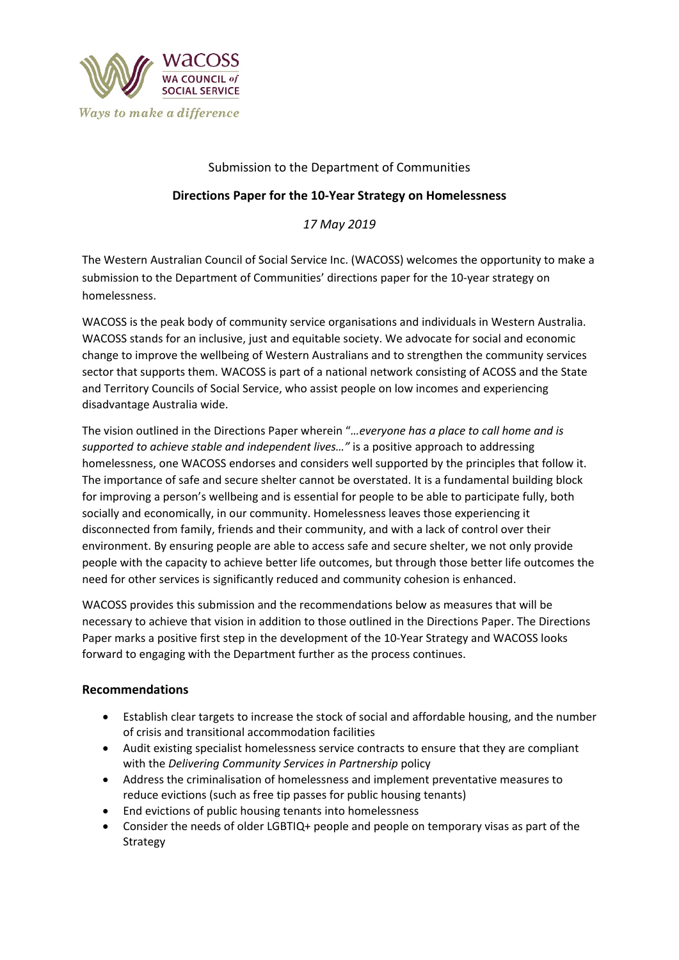

# Submission to the Department of Communities

# **Directions Paper for the 10-Year Strategy on Homelessness**

*17 May 2019*

The Western Australian Council of Social Service Inc. (WACOSS) welcomes the opportunity to make a submission to the Department of Communities' directions paper for the 10-year strategy on homelessness.

WACOSS is the peak body of community service organisations and individuals in Western Australia. WACOSS stands for an inclusive, just and equitable society. We advocate for social and economic change to improve the wellbeing of Western Australians and to strengthen the community services sector that supports them. WACOSS is part of a national network consisting of ACOSS and the State and Territory Councils of Social Service, who assist people on low incomes and experiencing disadvantage Australia wide.

The vision outlined in the Directions Paper wherein "*…everyone has a place to call home and is supported to achieve stable and independent lives…"* is a positive approach to addressing homelessness, one WACOSS endorses and considers well supported by the principles that follow it. The importance of safe and secure shelter cannot be overstated. It is a fundamental building block for improving a person's wellbeing and is essential for people to be able to participate fully, both socially and economically, in our community. Homelessness leaves those experiencing it disconnected from family, friends and their community, and with a lack of control over their environment. By ensuring people are able to access safe and secure shelter, we not only provide people with the capacity to achieve better life outcomes, but through those better life outcomes the need for other services is significantly reduced and community cohesion is enhanced.

WACOSS provides this submission and the recommendations below as measures that will be necessary to achieve that vision in addition to those outlined in the Directions Paper. The Directions Paper marks a positive first step in the development of the 10-Year Strategy and WACOSS looks forward to engaging with the Department further as the process continues.

# **Recommendations**

- Establish clear targets to increase the stock of social and affordable housing, and the number of crisis and transitional accommodation facilities
- Audit existing specialist homelessness service contracts to ensure that they are compliant with the *Delivering Community Services in Partnership* policy
- Address the criminalisation of homelessness and implement preventative measures to reduce evictions (such as free tip passes for public housing tenants)
- End evictions of public housing tenants into homelessness
- Consider the needs of older LGBTIQ+ people and people on temporary visas as part of the Strategy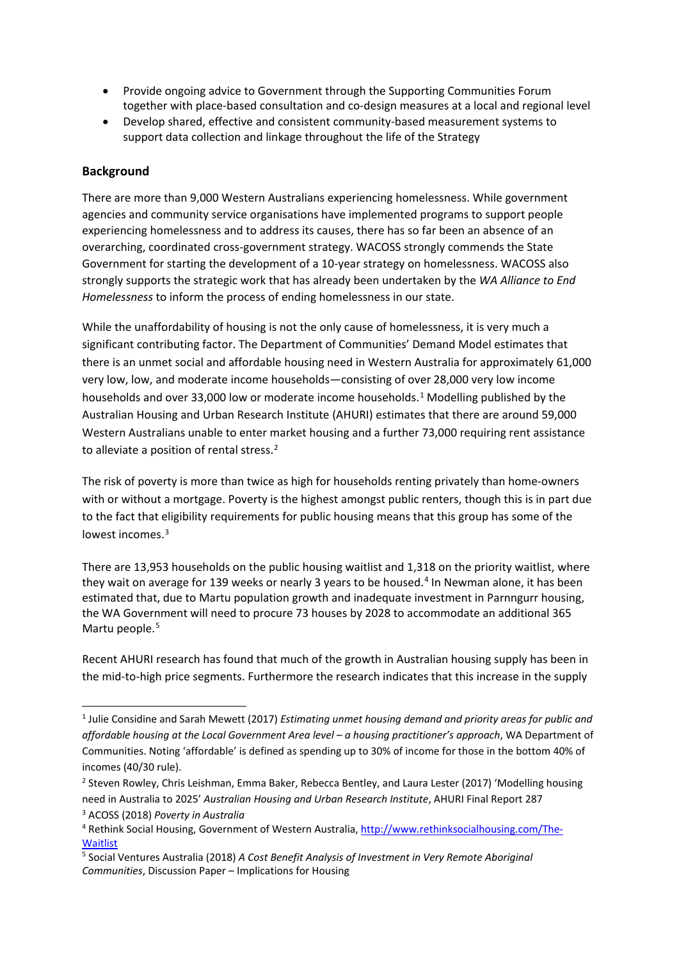- Provide ongoing advice to Government through the Supporting Communities Forum together with place-based consultation and co-design measures at a local and regional level
- Develop shared, effective and consistent community-based measurement systems to support data collection and linkage throughout the life of the Strategy

# **Background**

There are more than 9,000 Western Australians experiencing homelessness. While government agencies and community service organisations have implemented programs to support people experiencing homelessness and to address its causes, there has so far been an absence of an overarching, coordinated cross-government strategy. WACOSS strongly commends the State Government for starting the development of a 10-year strategy on homelessness. WACOSS also strongly supports the strategic work that has already been undertaken by the *WA Alliance to End Homelessness* to inform the process of ending homelessness in our state.

While the unaffordability of housing is not the only cause of homelessness, it is very much a significant contributing factor. The Department of Communities' Demand Model estimates that there is an unmet social and affordable housing need in Western Australia for approximately 61,000 very low, low, and moderate income households—consisting of over 28,000 very low income households and over 33,000 low or moderate income households.[1](#page-1-0) Modelling published by the Australian Housing and Urban Research Institute (AHURI) estimates that there are around 59,000 Western Australians unable to enter market housing and a further 73,000 requiring rent assistance to alleviate a position of rental stress.<sup>[2](#page-1-1)</sup>

The risk of poverty is more than twice as high for households renting privately than home-owners with or without a mortgage. Poverty is the highest amongst public renters, though this is in part due to the fact that eligibility requirements for public housing means that this group has some of the lowest incomes.[3](#page-1-2)

There are 13,953 households on the public housing waitlist and 1,318 on the priority waitlist, where they wait on average for 139 weeks or nearly 3 years to be housed.<sup>[4](#page-1-3)</sup> In Newman alone, it has been estimated that, due to Martu population growth and inadequate investment in Parnngurr housing, the WA Government will need to procure 73 houses by 2028 to accommodate an additional 365 Martu people.<sup>[5](#page-1-4)</sup>

Recent AHURI research has found that much of the growth in Australian housing supply has been in the mid-to-high price segments. Furthermore the research indicates that this increase in the supply

<span id="page-1-0"></span> <sup>1</sup> Julie Considine and Sarah Mewett (2017) *Estimating unmet housing demand and priority areas for public and affordable housing at the Local Government Area level – a housing practitioner's approach*, WA Department of Communities. Noting 'affordable' is defined as spending up to 30% of income for those in the bottom 40% of incomes (40/30 rule).

<span id="page-1-1"></span><sup>2</sup> Steven Rowley, Chris Leishman, Emma Baker, Rebecca Bentley, and Laura Lester (2017) 'Modelling housing need in Australia to 2025' *Australian Housing and Urban Research Institute*, AHURI Final Report 287

<span id="page-1-2"></span><sup>3</sup> ACOSS (2018) *Poverty in Australia*

<span id="page-1-3"></span><sup>4</sup> Rethink Social Housing, Government of Western Australia[, http://www.rethinksocialhousing.com/The-](http://www.rethinksocialhousing.com/The-Waitlist)**[Waitlist](http://www.rethinksocialhousing.com/The-Waitlist)** 

<span id="page-1-4"></span><sup>5</sup> Social Ventures Australia (2018) *A Cost Benefit Analysis of Investment in Very Remote Aboriginal Communities*, Discussion Paper – Implications for Housing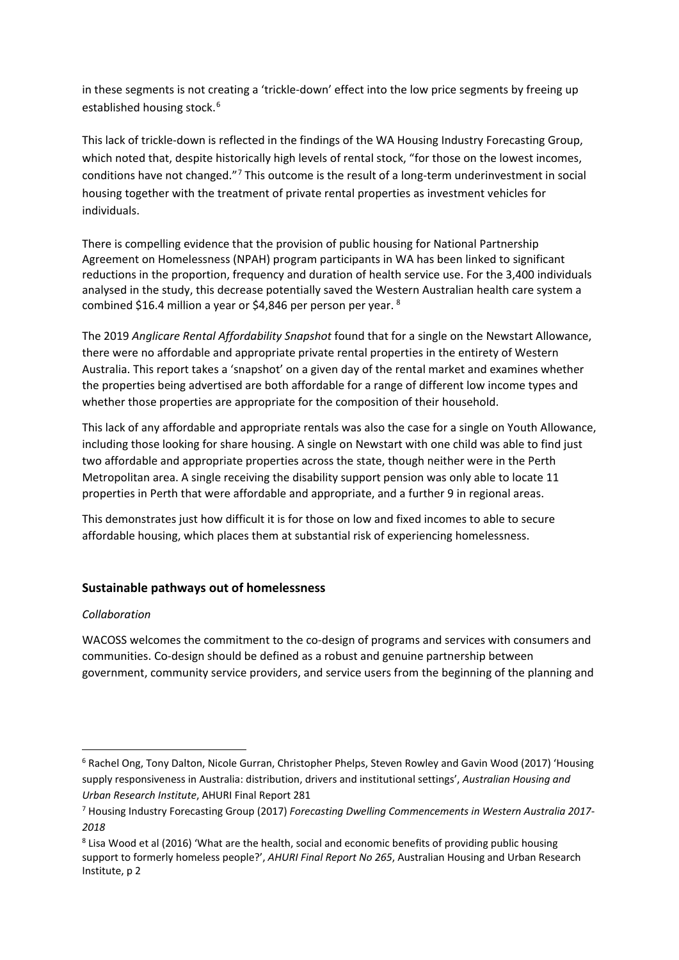in these segments is not creating a 'trickle-down' effect into the low price segments by freeing up established housing stock.<sup>[6](#page-2-0)</sup>

This lack of trickle-down is reflected in the findings of the WA Housing Industry Forecasting Group, which noted that, despite historically high levels of rental stock, "for those on the lowest incomes, conditions have not changed."[7](#page-2-1) This outcome is the result of a long-term underinvestment in social housing together with the treatment of private rental properties as investment vehicles for individuals.

There is compelling evidence that the provision of public housing for National Partnership Agreement on Homelessness (NPAH) program participants in WA has been linked to significant reductions in the proportion, frequency and duration of health service use. For the 3,400 individuals analysed in the study, this decrease potentially saved the Western Australian health care system a combined \$16.4 million a year or \$4,846 per person per year. [8](#page-2-2)

The 2019 *Anglicare Rental Affordability Snapshot* found that for a single on the Newstart Allowance, there were no affordable and appropriate private rental properties in the entirety of Western Australia. This report takes a 'snapshot' on a given day of the rental market and examines whether the properties being advertised are both affordable for a range of different low income types and whether those properties are appropriate for the composition of their household.

This lack of any affordable and appropriate rentals was also the case for a single on Youth Allowance, including those looking for share housing. A single on Newstart with one child was able to find just two affordable and appropriate properties across the state, though neither were in the Perth Metropolitan area. A single receiving the disability support pension was only able to locate 11 properties in Perth that were affordable and appropriate, and a further 9 in regional areas.

This demonstrates just how difficult it is for those on low and fixed incomes to able to secure affordable housing, which places them at substantial risk of experiencing homelessness.

# **Sustainable pathways out of homelessness**

# *Collaboration*

WACOSS welcomes the commitment to the co-design of programs and services with consumers and communities. Co-design should be defined as a robust and genuine partnership between government, community service providers, and service users from the beginning of the planning and

<span id="page-2-0"></span> <sup>6</sup> Rachel Ong, Tony Dalton, Nicole Gurran, Christopher Phelps, Steven Rowley and Gavin Wood (2017) 'Housing supply responsiveness in Australia: distribution, drivers and institutional settings', *Australian Housing and Urban Research Institute*, AHURI Final Report 281

<span id="page-2-1"></span><sup>7</sup> Housing Industry Forecasting Group (2017) *Forecasting Dwelling Commencements in Western Australia 2017- 2018*

<span id="page-2-2"></span><sup>&</sup>lt;sup>8</sup> Lisa Wood et al (2016) 'What are the health, social and economic benefits of providing public housing support to formerly homeless people?', *AHURI Final Report No 265*, Australian Housing and Urban Research Institute, p 2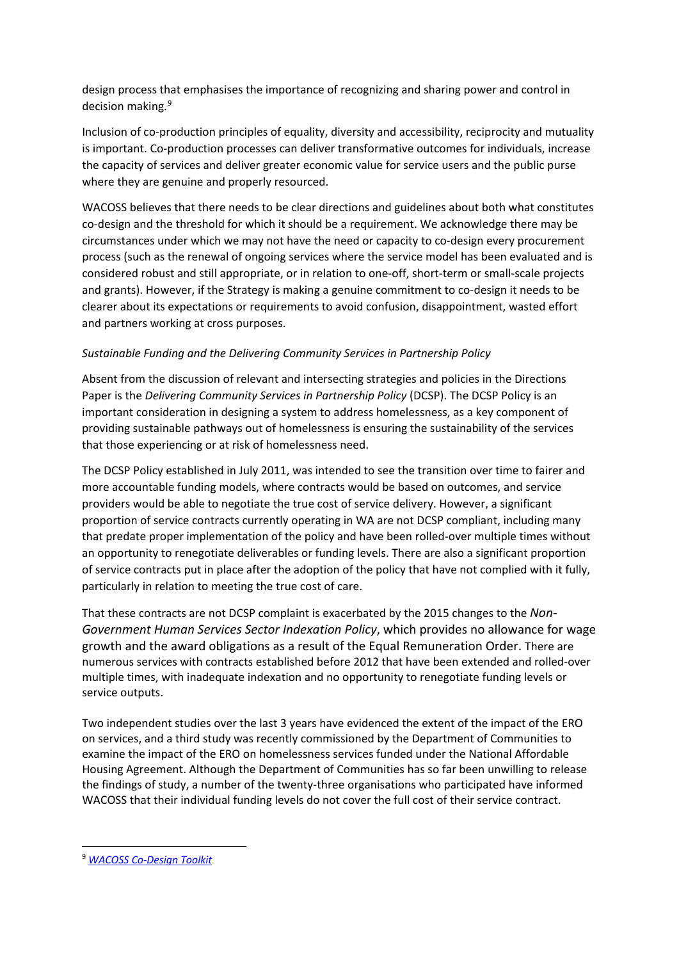design process that emphasises the importance of recognizing and sharing power and control in decision making.<sup>[9](#page-3-0)</sup>

Inclusion of co-production principles of equality, diversity and accessibility, reciprocity and mutuality is important. Co-production processes can deliver transformative outcomes for individuals, increase the capacity of services and deliver greater economic value for service users and the public purse where they are genuine and properly resourced.

WACOSS believes that there needs to be clear directions and guidelines about both what constitutes co-design and the threshold for which it should be a requirement. We acknowledge there may be circumstances under which we may not have the need or capacity to co-design every procurement process (such as the renewal of ongoing services where the service model has been evaluated and is considered robust and still appropriate, or in relation to one-off, short-term or small-scale projects and grants). However, if the Strategy is making a genuine commitment to co-design it needs to be clearer about its expectations or requirements to avoid confusion, disappointment, wasted effort and partners working at cross purposes.

# *Sustainable Funding and the Delivering Community Services in Partnership Policy*

Absent from the discussion of relevant and intersecting strategies and policies in the Directions Paper is the *Delivering Community Services in Partnership Policy* (DCSP). The DCSP Policy is an important consideration in designing a system to address homelessness, as a key component of providing sustainable pathways out of homelessness is ensuring the sustainability of the services that those experiencing or at risk of homelessness need.

The DCSP Policy established in July 2011, was intended to see the transition over time to fairer and more accountable funding models, where contracts would be based on outcomes, and service providers would be able to negotiate the true cost of service delivery. However, a significant proportion of service contracts currently operating in WA are not DCSP compliant, including many that predate proper implementation of the policy and have been rolled-over multiple times without an opportunity to renegotiate deliverables or funding levels. There are also a significant proportion of service contracts put in place after the adoption of the policy that have not complied with it fully, particularly in relation to meeting the true cost of care.

That these contracts are not DCSP complaint is exacerbated by the 2015 changes to the *Non-Government Human Services Sector Indexation Policy*, which provides no allowance for wage growth and the award obligations as a result of the Equal Remuneration Order. There are numerous services with contracts established before 2012 that have been extended and rolled-over multiple times, with inadequate indexation and no opportunity to renegotiate funding levels or service outputs.

Two independent studies over the last 3 years have evidenced the extent of the impact of the ERO on services, and a third study was recently commissioned by the Department of Communities to examine the impact of the ERO on homelessness services funded under the National Affordable Housing Agreement. Although the Department of Communities has so far been unwilling to release the findings of study, a number of the twenty-three organisations who participated have informed WACOSS that their individual funding levels do not cover the full cost of their service contract.

<span id="page-3-0"></span> <sup>9</sup> *[WACOSS Co-Design Toolkit](https://wacoss.org.au/wp-content/uploads/2017/07/co-design-toolkit-combined-2-1.pdf)*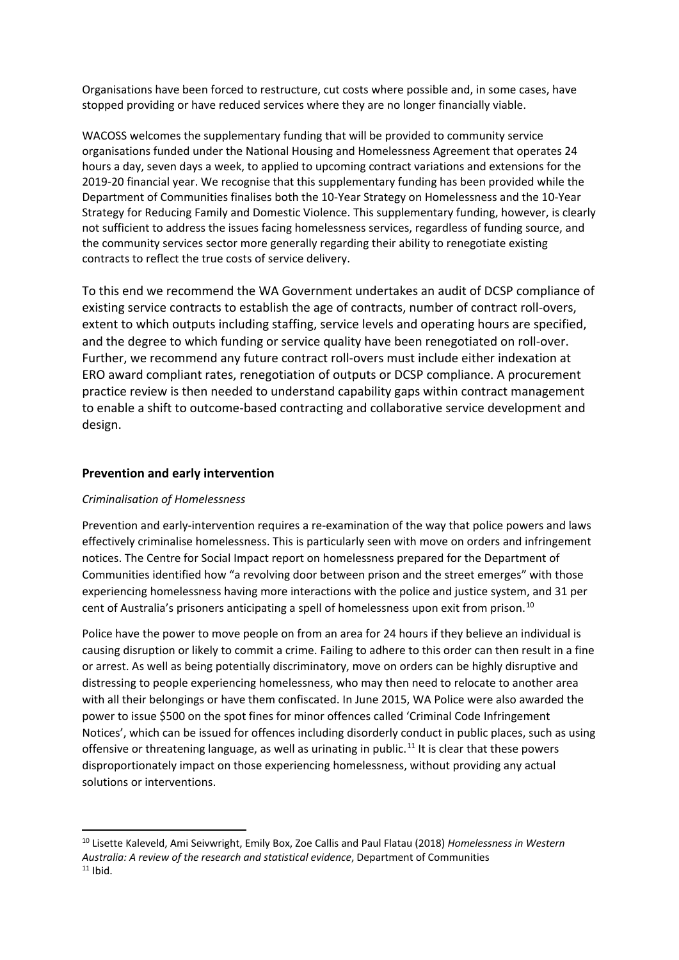Organisations have been forced to restructure, cut costs where possible and, in some cases, have stopped providing or have reduced services where they are no longer financially viable.

WACOSS welcomes the supplementary funding that will be provided to community service organisations funded under the National Housing and Homelessness Agreement that operates 24 hours a day, seven days a week, to applied to upcoming contract variations and extensions for the 2019-20 financial year. We recognise that this supplementary funding has been provided while the Department of Communities finalises both the 10-Year Strategy on Homelessness and the 10-Year Strategy for Reducing Family and Domestic Violence. This supplementary funding, however, is clearly not sufficient to address the issues facing homelessness services, regardless of funding source, and the community services sector more generally regarding their ability to renegotiate existing contracts to reflect the true costs of service delivery.

To this end we recommend the WA Government undertakes an audit of DCSP compliance of existing service contracts to establish the age of contracts, number of contract roll-overs, extent to which outputs including staffing, service levels and operating hours are specified, and the degree to which funding or service quality have been renegotiated on roll-over. Further, we recommend any future contract roll-overs must include either indexation at ERO award compliant rates, renegotiation of outputs or DCSP compliance. A procurement practice review is then needed to understand capability gaps within contract management to enable a shift to outcome-based contracting and collaborative service development and design.

## **Prevention and early intervention**

#### *Criminalisation of Homelessness*

Prevention and early-intervention requires a re-examination of the way that police powers and laws effectively criminalise homelessness. This is particularly seen with move on orders and infringement notices. The Centre for Social Impact report on homelessness prepared for the Department of Communities identified how "a revolving door between prison and the street emerges" with those experiencing homelessness having more interactions with the police and justice system, and 31 per cent of Australia's prisoners anticipating a spell of homelessness upon exit from prison.<sup>[10](#page-4-0)</sup>

Police have the power to move people on from an area for 24 hours if they believe an individual is causing disruption or likely to commit a crime. Failing to adhere to this order can then result in a fine or arrest. As well as being potentially discriminatory, move on orders can be highly disruptive and distressing to people experiencing homelessness, who may then need to relocate to another area with all their belongings or have them confiscated. In June 2015, WA Police were also awarded the power to issue \$500 on the spot fines for minor offences called 'Criminal Code Infringement Notices', which can be issued for offences including disorderly conduct in public places, such as using offensive or threatening language, as well as urinating in public.<sup>[11](#page-4-1)</sup> It is clear that these powers disproportionately impact on those experiencing homelessness, without providing any actual solutions or interventions.

<span id="page-4-1"></span><span id="page-4-0"></span> <sup>10</sup> Lisette Kaleveld, Ami Seivwright, Emily Box, Zoe Callis and Paul Flatau (2018) *Homelessness in Western Australia: A review of the research and statistical evidence*, Department of Communities  $11$  Ibid.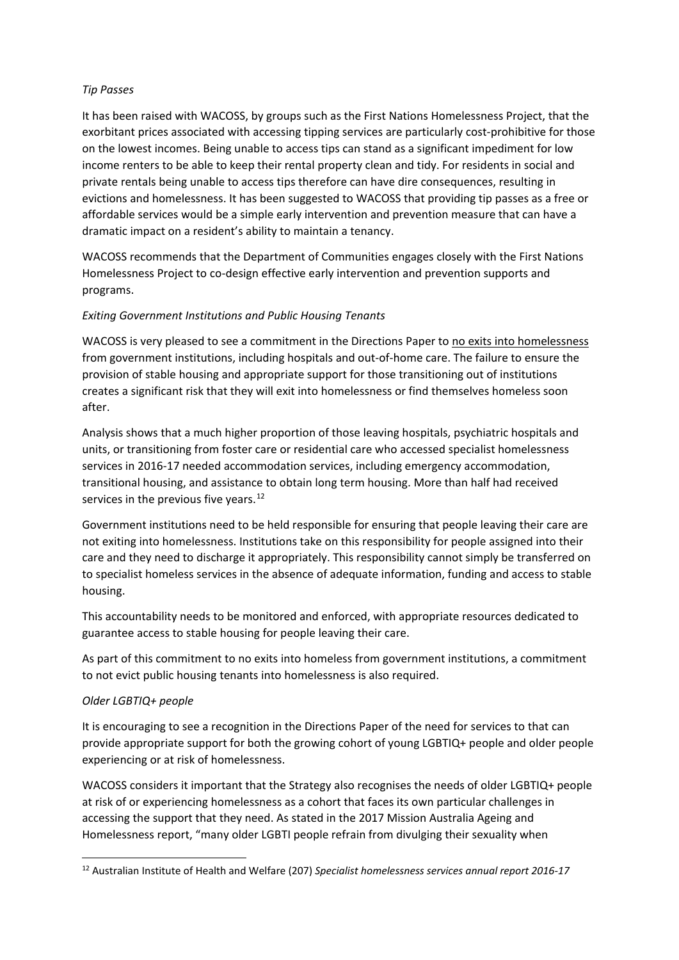## *Tip Passes*

It has been raised with WACOSS, by groups such as the First Nations Homelessness Project, that the exorbitant prices associated with accessing tipping services are particularly cost-prohibitive for those on the lowest incomes. Being unable to access tips can stand as a significant impediment for low income renters to be able to keep their rental property clean and tidy. For residents in social and private rentals being unable to access tips therefore can have dire consequences, resulting in evictions and homelessness. It has been suggested to WACOSS that providing tip passes as a free or affordable services would be a simple early intervention and prevention measure that can have a dramatic impact on a resident's ability to maintain a tenancy.

WACOSS recommends that the Department of Communities engages closely with the First Nations Homelessness Project to co-design effective early intervention and prevention supports and programs.

# *Exiting Government Institutions and Public Housing Tenants*

WACOSS is very pleased to see a commitment in the Directions Paper to no exits into homelessness from government institutions, including hospitals and out-of-home care. The failure to ensure the provision of stable housing and appropriate support for those transitioning out of institutions creates a significant risk that they will exit into homelessness or find themselves homeless soon after.

Analysis shows that a much higher proportion of those leaving hospitals, psychiatric hospitals and units, or transitioning from foster care or residential care who accessed specialist homelessness services in 2016-17 needed accommodation services, including emergency accommodation, transitional housing, and assistance to obtain long term housing. More than half had received services in the previous five years.<sup>[12](#page-5-0)</sup>

Government institutions need to be held responsible for ensuring that people leaving their care are not exiting into homelessness. Institutions take on this responsibility for people assigned into their care and they need to discharge it appropriately. This responsibility cannot simply be transferred on to specialist homeless services in the absence of adequate information, funding and access to stable housing.

This accountability needs to be monitored and enforced, with appropriate resources dedicated to guarantee access to stable housing for people leaving their care.

As part of this commitment to no exits into homeless from government institutions, a commitment to not evict public housing tenants into homelessness is also required.

#### *Older LGBTIQ+ people*

It is encouraging to see a recognition in the Directions Paper of the need for services to that can provide appropriate support for both the growing cohort of young LGBTIQ+ people and older people experiencing or at risk of homelessness.

WACOSS considers it important that the Strategy also recognises the needs of older LGBTIQ+ people at risk of or experiencing homelessness as a cohort that faces its own particular challenges in accessing the support that they need. As stated in the 2017 Mission Australia Ageing and Homelessness report, "many older LGBTI people refrain from divulging their sexuality when

<span id="page-5-0"></span> <sup>12</sup> Australian Institute of Health and Welfare (207) *Specialist homelessness services annual report 2016-17*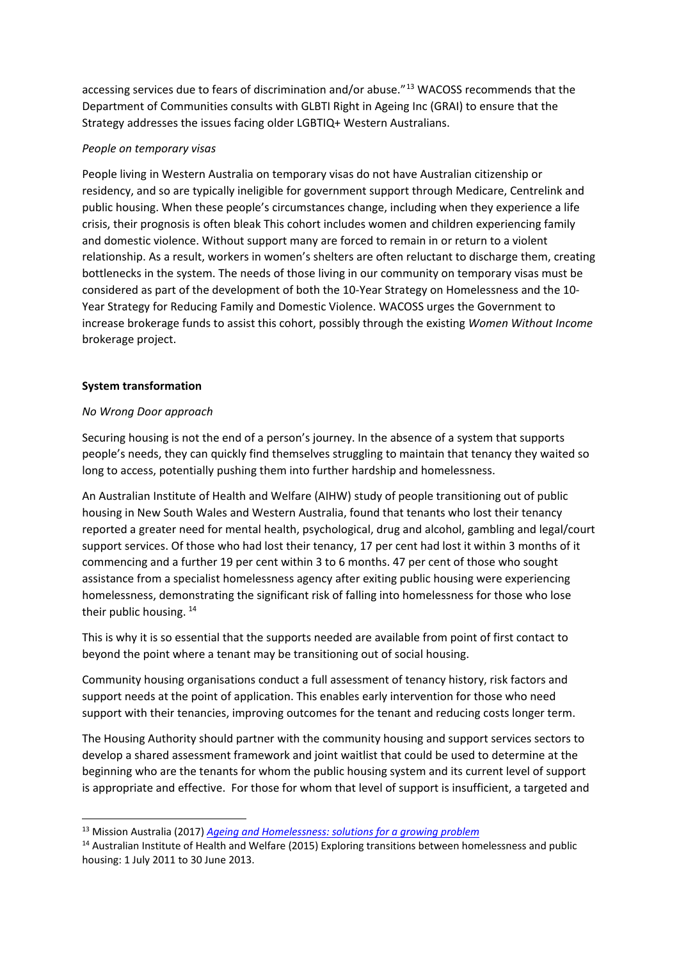accessing services due to fears of discrimination and/or abuse."<sup>[13](#page-6-0)</sup> WACOSS recommends that the Department of Communities consults with GLBTI Right in Ageing Inc (GRAI) to ensure that the Strategy addresses the issues facing older LGBTIQ+ Western Australians.

## *People on temporary visas*

People living in Western Australia on temporary visas do not have Australian citizenship or residency, and so are typically ineligible for government support through Medicare, Centrelink and public housing. When these people's circumstances change, including when they experience a life crisis, their prognosis is often bleak This cohort includes women and children experiencing family and domestic violence. Without support many are forced to remain in or return to a violent relationship. As a result, workers in women's shelters are often reluctant to discharge them, creating bottlenecks in the system. The needs of those living in our community on temporary visas must be considered as part of the development of both the 10-Year Strategy on Homelessness and the 10- Year Strategy for Reducing Family and Domestic Violence. WACOSS urges the Government to increase brokerage funds to assist this cohort, possibly through the existing *Women Without Income* brokerage project.

## **System transformation**

## *No Wrong Door approach*

Securing housing is not the end of a person's journey. In the absence of a system that supports people's needs, they can quickly find themselves struggling to maintain that tenancy they waited so long to access, potentially pushing them into further hardship and homelessness.

An Australian Institute of Health and Welfare (AIHW) study of people transitioning out of public housing in New South Wales and Western Australia, found that tenants who lost their tenancy reported a greater need for mental health, psychological, drug and alcohol, gambling and legal/court support services. Of those who had lost their tenancy, 17 per cent had lost it within 3 months of it commencing and a further 19 per cent within 3 to 6 months. 47 per cent of those who sought assistance from a specialist homelessness agency after exiting public housing were experiencing homelessness, demonstrating the significant risk of falling into homelessness for those who lose their public housing.<sup>[14](#page-6-1)</sup>

This is why it is so essential that the supports needed are available from point of first contact to beyond the point where a tenant may be transitioning out of social housing.

Community housing organisations conduct a full assessment of tenancy history, risk factors and support needs at the point of application. This enables early intervention for those who need support with their tenancies, improving outcomes for the tenant and reducing costs longer term.

The Housing Authority should partner with the community housing and support services sectors to develop a shared assessment framework and joint waitlist that could be used to determine at the beginning who are the tenants for whom the public housing system and its current level of support is appropriate and effective. For those for whom that level of support is insufficient, a targeted and

<span id="page-6-0"></span> <sup>13</sup> Mission Australia (2017) *[Ageing and Homelessness: solutions for a growing problem](https://www.missionaustralia.com.au/news-blog/news-media/mission-australia-report-shows-homelessness-is-a-growing-concern-for-older-australians)*

<span id="page-6-1"></span><sup>&</sup>lt;sup>14</sup> Australian Institute of Health and Welfare (2015) Exploring transitions between homelessness and public housing: 1 July 2011 to 30 June 2013.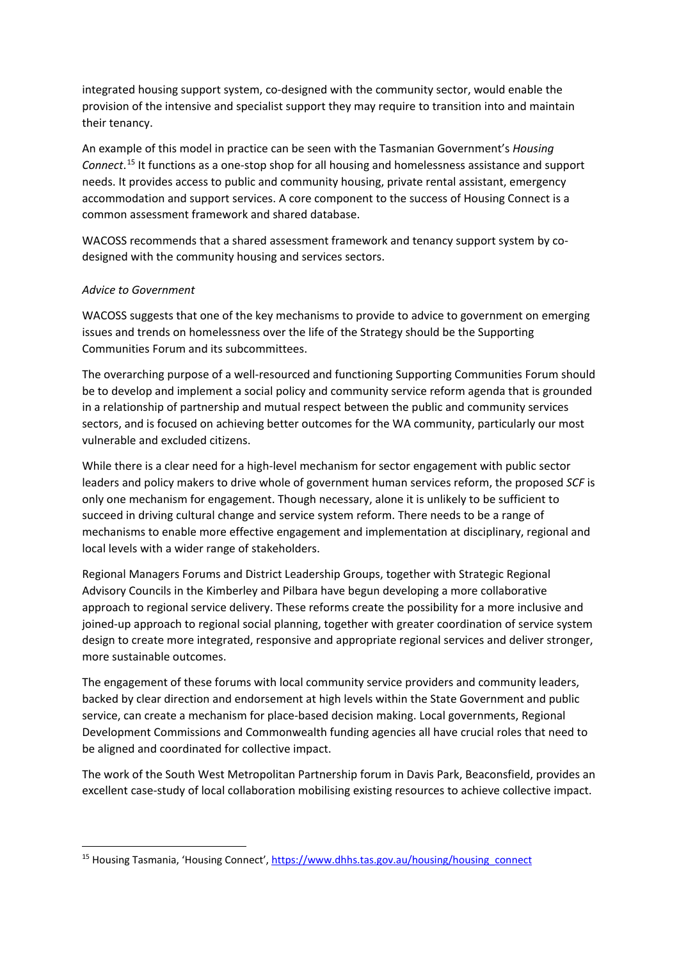integrated housing support system, co-designed with the community sector, would enable the provision of the intensive and specialist support they may require to transition into and maintain their tenancy.

An example of this model in practice can be seen with the Tasmanian Government's *Housing Connect*. [15](#page-7-0) It functions as a one-stop shop for all housing and homelessness assistance and support needs. It provides access to public and community housing, private rental assistant, emergency accommodation and support services. A core component to the success of Housing Connect is a common assessment framework and shared database.

WACOSS recommends that a shared assessment framework and tenancy support system by codesigned with the community housing and services sectors.

#### *Advice to Government*

WACOSS suggests that one of the key mechanisms to provide to advice to government on emerging issues and trends on homelessness over the life of the Strategy should be the Supporting Communities Forum and its subcommittees.

The overarching purpose of a well-resourced and functioning Supporting Communities Forum should be to develop and implement a social policy and community service reform agenda that is grounded in a relationship of partnership and mutual respect between the public and community services sectors, and is focused on achieving better outcomes for the WA community, particularly our most vulnerable and excluded citizens.

While there is a clear need for a high-level mechanism for sector engagement with public sector leaders and policy makers to drive whole of government human services reform, the proposed *SCF* is only one mechanism for engagement. Though necessary, alone it is unlikely to be sufficient to succeed in driving cultural change and service system reform. There needs to be a range of mechanisms to enable more effective engagement and implementation at disciplinary, regional and local levels with a wider range of stakeholders.

Regional Managers Forums and District Leadership Groups, together with Strategic Regional Advisory Councils in the Kimberley and Pilbara have begun developing a more collaborative approach to regional service delivery. These reforms create the possibility for a more inclusive and joined-up approach to regional social planning, together with greater coordination of service system design to create more integrated, responsive and appropriate regional services and deliver stronger, more sustainable outcomes.

The engagement of these forums with local community service providers and community leaders, backed by clear direction and endorsement at high levels within the State Government and public service, can create a mechanism for place-based decision making. Local governments, Regional Development Commissions and Commonwealth funding agencies all have crucial roles that need to be aligned and coordinated for collective impact.

The work of the South West Metropolitan Partnership forum in Davis Park, Beaconsfield, provides an excellent case-study of local collaboration mobilising existing resources to achieve collective impact.

<span id="page-7-0"></span><sup>&</sup>lt;sup>15</sup> Housing Tasmania, 'Housing Connect', [https://www.dhhs.tas.gov.au/housing/housing\\_connect](https://www.dhhs.tas.gov.au/housing/housing_connect)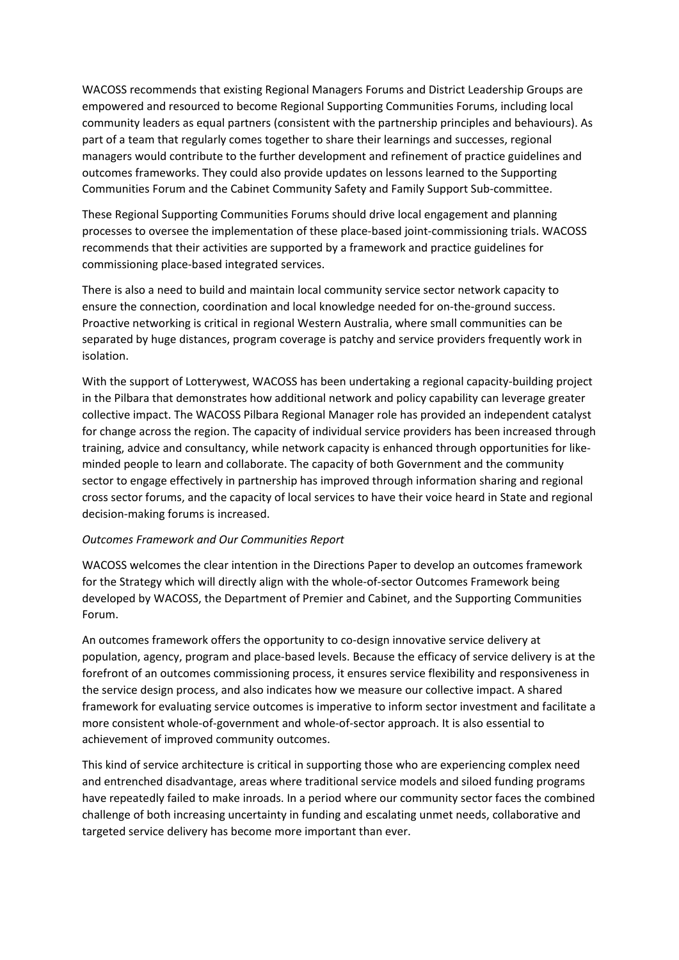WACOSS recommends that existing Regional Managers Forums and District Leadership Groups are empowered and resourced to become Regional Supporting Communities Forums, including local community leaders as equal partners (consistent with the partnership principles and behaviours). As part of a team that regularly comes together to share their learnings and successes, regional managers would contribute to the further development and refinement of practice guidelines and outcomes frameworks. They could also provide updates on lessons learned to the Supporting Communities Forum and the Cabinet Community Safety and Family Support Sub-committee.

These Regional Supporting Communities Forums should drive local engagement and planning processes to oversee the implementation of these place-based joint-commissioning trials. WACOSS recommends that their activities are supported by a framework and practice guidelines for commissioning place-based integrated services.

There is also a need to build and maintain local community service sector network capacity to ensure the connection, coordination and local knowledge needed for on-the-ground success. Proactive networking is critical in regional Western Australia, where small communities can be separated by huge distances, program coverage is patchy and service providers frequently work in isolation.

With the support of Lotterywest, WACOSS has been undertaking a regional capacity-building project in the Pilbara that demonstrates how additional network and policy capability can leverage greater collective impact. The WACOSS Pilbara Regional Manager role has provided an independent catalyst for change across the region. The capacity of individual service providers has been increased through training, advice and consultancy, while network capacity is enhanced through opportunities for likeminded people to learn and collaborate. The capacity of both Government and the community sector to engage effectively in partnership has improved through information sharing and regional cross sector forums, and the capacity of local services to have their voice heard in State and regional decision-making forums is increased.

#### *Outcomes Framework and Our Communities Report*

WACOSS welcomes the clear intention in the Directions Paper to develop an outcomes framework for the Strategy which will directly align with the whole-of-sector Outcomes Framework being developed by WACOSS, the Department of Premier and Cabinet, and the Supporting Communities Forum.

An outcomes framework offers the opportunity to co-design innovative service delivery at population, agency, program and place-based levels. Because the efficacy of service delivery is at the forefront of an outcomes commissioning process, it ensures service flexibility and responsiveness in the service design process, and also indicates how we measure our collective impact. A shared framework for evaluating service outcomes is imperative to inform sector investment and facilitate a more consistent whole-of-government and whole-of-sector approach. It is also essential to achievement of improved community outcomes.

This kind of service architecture is critical in supporting those who are experiencing complex need and entrenched disadvantage, areas where traditional service models and siloed funding programs have repeatedly failed to make inroads. In a period where our community sector faces the combined challenge of both increasing uncertainty in funding and escalating unmet needs, collaborative and targeted service delivery has become more important than ever.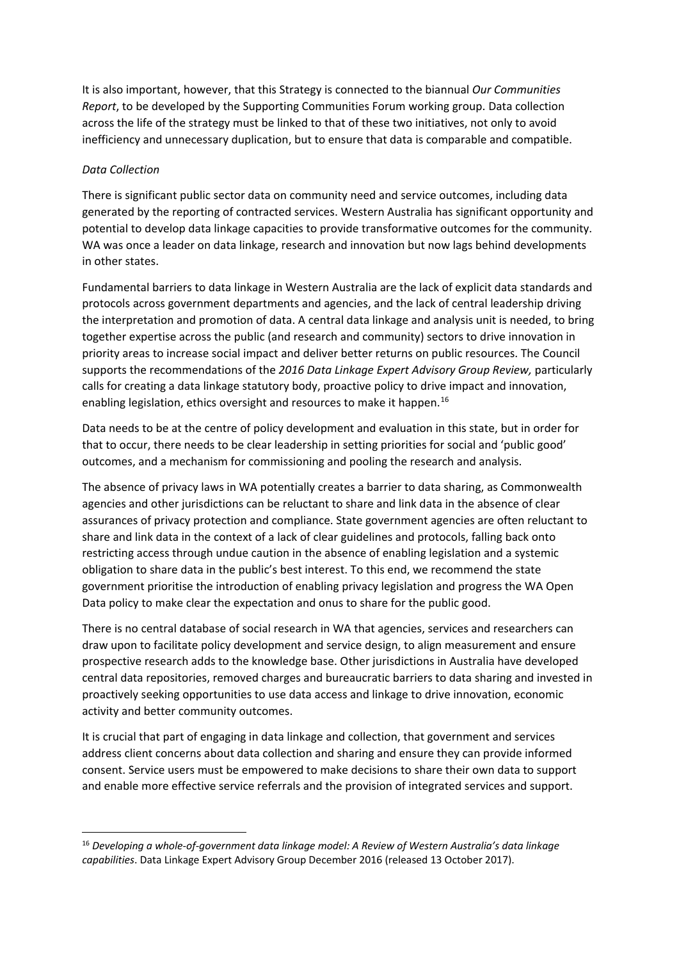It is also important, however, that this Strategy is connected to the biannual *Our Communities Report*, to be developed by the Supporting Communities Forum working group. Data collection across the life of the strategy must be linked to that of these two initiatives, not only to avoid inefficiency and unnecessary duplication, but to ensure that data is comparable and compatible.

## *Data Collection*

There is significant public sector data on community need and service outcomes, including data generated by the reporting of contracted services. Western Australia has significant opportunity and potential to develop data linkage capacities to provide transformative outcomes for the community. WA was once a leader on data linkage, research and innovation but now lags behind developments in other states.

Fundamental barriers to data linkage in Western Australia are the lack of explicit data standards and protocols across government departments and agencies, and the lack of central leadership driving the interpretation and promotion of data. A central data linkage and analysis unit is needed, to bring together expertise across the public (and research and community) sectors to drive innovation in priority areas to increase social impact and deliver better returns on public resources. The Council supports the recommendations of the *2016 Data Linkage Expert Advisory Group Review,* particularly calls for creating a data linkage statutory body, proactive policy to drive impact and innovation, enabling legislation, ethics oversight and resources to make it happen.<sup>[16](#page-9-0)</sup>

Data needs to be at the centre of policy development and evaluation in this state, but in order for that to occur, there needs to be clear leadership in setting priorities for social and 'public good' outcomes, and a mechanism for commissioning and pooling the research and analysis.

The absence of privacy laws in WA potentially creates a barrier to data sharing, as Commonwealth agencies and other jurisdictions can be reluctant to share and link data in the absence of clear assurances of privacy protection and compliance. State government agencies are often reluctant to share and link data in the context of a lack of clear guidelines and protocols, falling back onto restricting access through undue caution in the absence of enabling legislation and a systemic obligation to share data in the public's best interest. To this end, we recommend the state government prioritise the introduction of enabling privacy legislation and progress the WA Open Data policy to make clear the expectation and onus to share for the public good.

There is no central database of social research in WA that agencies, services and researchers can draw upon to facilitate policy development and service design, to align measurement and ensure prospective research adds to the knowledge base. Other jurisdictions in Australia have developed central data repositories, removed charges and bureaucratic barriers to data sharing and invested in proactively seeking opportunities to use data access and linkage to drive innovation, economic activity and better community outcomes.

It is crucial that part of engaging in data linkage and collection, that government and services address client concerns about data collection and sharing and ensure they can provide informed consent. Service users must be empowered to make decisions to share their own data to support and enable more effective service referrals and the provision of integrated services and support.

<span id="page-9-0"></span> <sup>16</sup> *Developing a whole-of-government data linkage model: A Review of Western Australia's data linkage capabilities*. Data Linkage Expert Advisory Group December 2016 (released 13 October 2017).